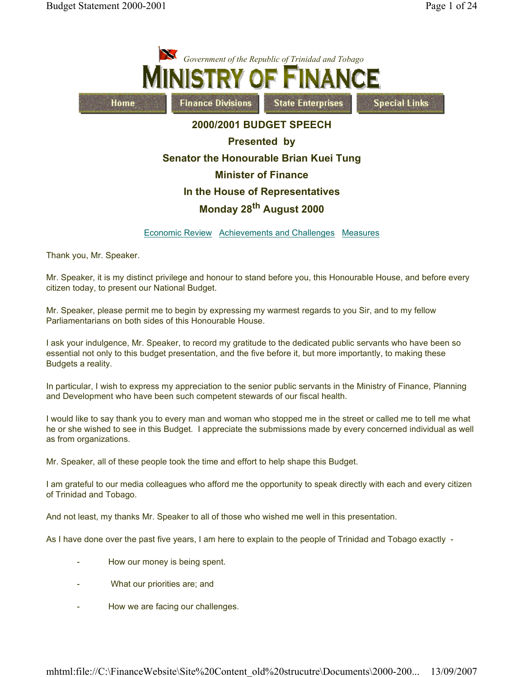

Economic Review Achievements and Challenges Measures

Thank you, Mr. Speaker.

Mr. Speaker, it is my distinct privilege and honour to stand before you, this Honourable House, and before every citizen today, to present our National Budget.

Mr. Speaker, please permit me to begin by expressing my warmest regards to you Sir, and to my fellow Parliamentarians on both sides of this Honourable House.

I ask your indulgence, Mr. Speaker, to record my gratitude to the dedicated public servants who have been so essential not only to this budget presentation, and the five before it, but more importantly, to making these Budgets a reality.

In particular, I wish to express my appreciation to the senior public servants in the Ministry of Finance, Planning and Development who have been such competent stewards of our fiscal health.

I would like to say thank you to every man and woman who stopped me in the street or called me to tell me what he or she wished to see in this Budget. I appreciate the submissions made by every concerned individual as well as from organizations.

Mr. Speaker, all of these people took the time and effort to help shape this Budget.

I am grateful to our media colleagues who afford me the opportunity to speak directly with each and every citizen of Trinidad and Tobago.

And not least, my thanks Mr. Speaker to all of those who wished me well in this presentation.

As I have done over the past five years, I am here to explain to the people of Trinidad and Tobago exactly -

- How our money is being spent.
- What our priorities are; and
- How we are facing our challenges.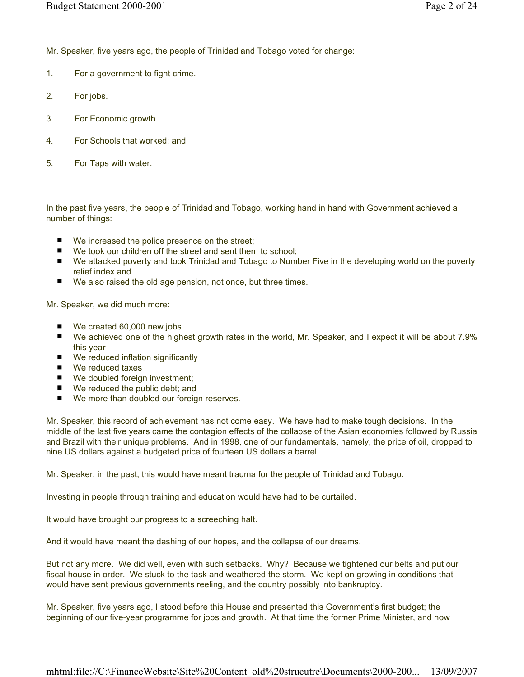Mr. Speaker, five years ago, the people of Trinidad and Tobago voted for change:

- 1. For a government to fight crime.
- 2. For jobs.
- 3. For Economic growth.
- 4. For Schools that worked; and
- 5. For Taps with water.

In the past five years, the people of Trinidad and Tobago, working hand in hand with Government achieved a number of things:

- We increased the police presence on the street;
- We took our children off the street and sent them to school;
- We attacked poverty and took Trinidad and Tobago to Number Five in the developing world on the poverty relief index and
- We also raised the old age pension, not once, but three times.

Mr. Speaker, we did much more:

- We created 60,000 new jobs
- We achieved one of the highest growth rates in the world, Mr. Speaker, and I expect it will be about 7.9% this year
- We reduced inflation significantly
- We reduced taxes
- We doubled foreign investment;
- We reduced the public debt; and
- We more than doubled our foreign reserves.

Mr. Speaker, this record of achievement has not come easy. We have had to make tough decisions. In the middle of the last five years came the contagion effects of the collapse of the Asian economies followed by Russia and Brazil with their unique problems. And in 1998, one of our fundamentals, namely, the price of oil, dropped to nine US dollars against a budgeted price of fourteen US dollars a barrel.

Mr. Speaker, in the past, this would have meant trauma for the people of Trinidad and Tobago.

Investing in people through training and education would have had to be curtailed.

It would have brought our progress to a screeching halt.

And it would have meant the dashing of our hopes, and the collapse of our dreams.

But not any more. We did well, even with such setbacks. Why? Because we tightened our belts and put our fiscal house in order. We stuck to the task and weathered the storm. We kept on growing in conditions that would have sent previous governments reeling, and the country possibly into bankruptcy.

Mr. Speaker, five years ago, I stood before this House and presented this Government's first budget; the beginning of our five-year programme for jobs and growth. At that time the former Prime Minister, and now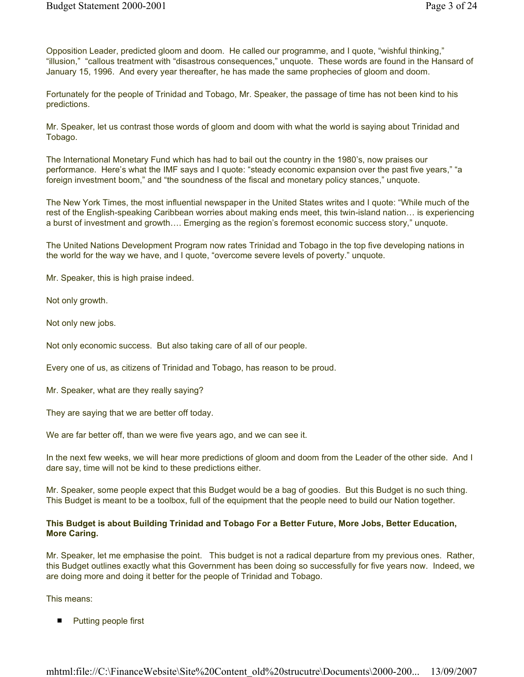Opposition Leader, predicted gloom and doom. He called our programme, and I quote, "wishful thinking," "illusion," "callous treatment with "disastrous consequences," unquote. These words are found in the Hansard of January 15, 1996. And every year thereafter, he has made the same prophecies of gloom and doom.

Fortunately for the people of Trinidad and Tobago, Mr. Speaker, the passage of time has not been kind to his predictions.

Mr. Speaker, let us contrast those words of gloom and doom with what the world is saying about Trinidad and Tobago.

The International Monetary Fund which has had to bail out the country in the 1980's, now praises our performance. Here's what the IMF says and I quote: "steady economic expansion over the past five years," "a foreign investment boom," and "the soundness of the fiscal and monetary policy stances," unquote.

The New York Times, the most influential newspaper in the United States writes and I quote: "While much of the rest of the English-speaking Caribbean worries about making ends meet, this twin-island nation… is experiencing a burst of investment and growth…. Emerging as the region's foremost economic success story," unquote.

The United Nations Development Program now rates Trinidad and Tobago in the top five developing nations in the world for the way we have, and I quote, "overcome severe levels of poverty." unquote.

Mr. Speaker, this is high praise indeed.

Not only growth.

Not only new jobs.

Not only economic success. But also taking care of all of our people.

Every one of us, as citizens of Trinidad and Tobago, has reason to be proud.

Mr. Speaker, what are they really saying?

They are saying that we are better off today.

We are far better off, than we were five years ago, and we can see it.

In the next few weeks, we will hear more predictions of gloom and doom from the Leader of the other side. And I dare say, time will not be kind to these predictions either.

Mr. Speaker, some people expect that this Budget would be a bag of goodies. But this Budget is no such thing. This Budget is meant to be a toolbox, full of the equipment that the people need to build our Nation together.

### This Budget is about Building Trinidad and Tobago For a Better Future, More Jobs, Better Education, More Caring.

Mr. Speaker, let me emphasise the point. This budget is not a radical departure from my previous ones. Rather, this Budget outlines exactly what this Government has been doing so successfully for five years now. Indeed, we are doing more and doing it better for the people of Trinidad and Tobago.

This means:

 $\blacksquare$ Putting people first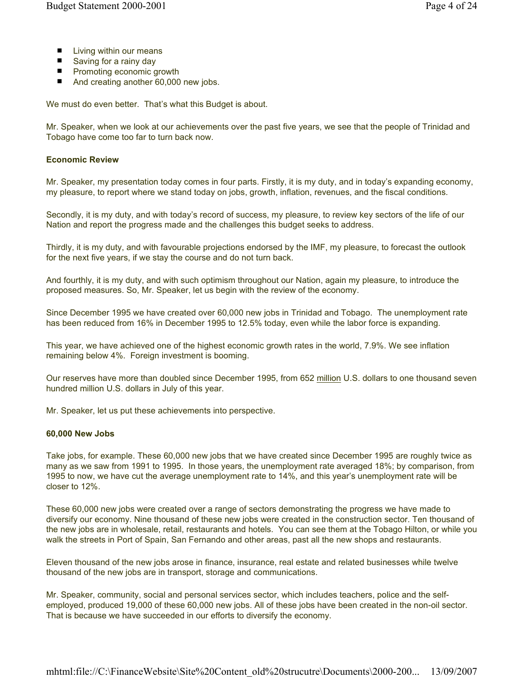- Living within our means
- Saving for a rainy day
- **Promoting economic growth**
- And creating another 60,000 new jobs.

We must do even better. That's what this Budget is about.

Mr. Speaker, when we look at our achievements over the past five years, we see that the people of Trinidad and Tobago have come too far to turn back now.

#### Economic Review

Mr. Speaker, my presentation today comes in four parts. Firstly, it is my duty, and in today's expanding economy, my pleasure, to report where we stand today on jobs, growth, inflation, revenues, and the fiscal conditions.

Secondly, it is my duty, and with today's record of success, my pleasure, to review key sectors of the life of our Nation and report the progress made and the challenges this budget seeks to address.

Thirdly, it is my duty, and with favourable projections endorsed by the IMF, my pleasure, to forecast the outlook for the next five years, if we stay the course and do not turn back.

And fourthly, it is my duty, and with such optimism throughout our Nation, again my pleasure, to introduce the proposed measures. So, Mr. Speaker, let us begin with the review of the economy.

Since December 1995 we have created over 60,000 new jobs in Trinidad and Tobago. The unemployment rate has been reduced from 16% in December 1995 to 12.5% today, even while the labor force is expanding.

This year, we have achieved one of the highest economic growth rates in the world, 7.9%. We see inflation remaining below 4%. Foreign investment is booming.

Our reserves have more than doubled since December 1995, from 652 million U.S. dollars to one thousand seven hundred million U.S. dollars in July of this year.

Mr. Speaker, let us put these achievements into perspective.

#### 60,000 New Jobs

Take jobs, for example. These 60,000 new jobs that we have created since December 1995 are roughly twice as many as we saw from 1991 to 1995. In those years, the unemployment rate averaged 18%; by comparison, from 1995 to now, we have cut the average unemployment rate to 14%, and this year's unemployment rate will be closer to 12%.

These 60,000 new jobs were created over a range of sectors demonstrating the progress we have made to diversify our economy. Nine thousand of these new jobs were created in the construction sector. Ten thousand of the new jobs are in wholesale, retail, restaurants and hotels. You can see them at the Tobago Hilton, or while you walk the streets in Port of Spain, San Fernando and other areas, past all the new shops and restaurants.

Eleven thousand of the new jobs arose in finance, insurance, real estate and related businesses while twelve thousand of the new jobs are in transport, storage and communications.

Mr. Speaker, community, social and personal services sector, which includes teachers, police and the selfemployed, produced 19,000 of these 60,000 new jobs. All of these jobs have been created in the non-oil sector. That is because we have succeeded in our efforts to diversify the economy.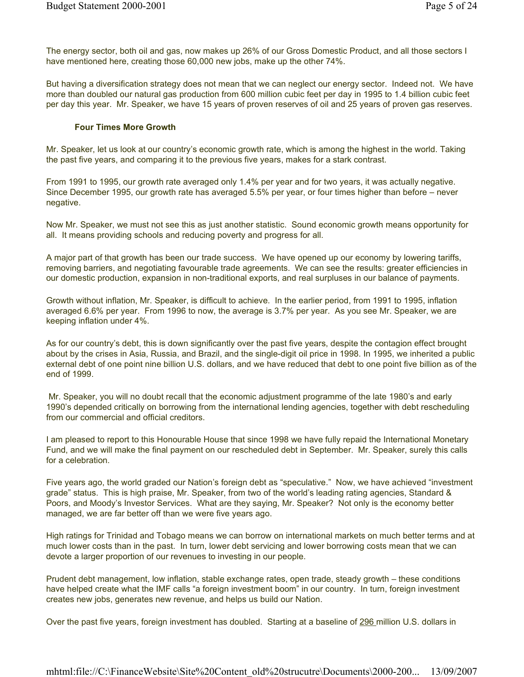The energy sector, both oil and gas, now makes up 26% of our Gross Domestic Product, and all those sectors I have mentioned here, creating those 60,000 new jobs, make up the other 74%.

But having a diversification strategy does not mean that we can neglect our energy sector. Indeed not. We have more than doubled our natural gas production from 600 million cubic feet per day in 1995 to 1.4 billion cubic feet per day this year. Mr. Speaker, we have 15 years of proven reserves of oil and 25 years of proven gas reserves.

### Four Times More Growth

Mr. Speaker, let us look at our country's economic growth rate, which is among the highest in the world. Taking the past five years, and comparing it to the previous five years, makes for a stark contrast.

From 1991 to 1995, our growth rate averaged only 1.4% per year and for two years, it was actually negative. Since December 1995, our growth rate has averaged 5.5% per year, or four times higher than before – never negative.

Now Mr. Speaker, we must not see this as just another statistic. Sound economic growth means opportunity for all. It means providing schools and reducing poverty and progress for all.

A major part of that growth has been our trade success. We have opened up our economy by lowering tariffs, removing barriers, and negotiating favourable trade agreements. We can see the results: greater efficiencies in our domestic production, expansion in non-traditional exports, and real surpluses in our balance of payments.

Growth without inflation, Mr. Speaker, is difficult to achieve. In the earlier period, from 1991 to 1995, inflation averaged 6.6% per year. From 1996 to now, the average is 3.7% per year. As you see Mr. Speaker, we are keeping inflation under 4%.

As for our country's debt, this is down significantly over the past five years, despite the contagion effect brought about by the crises in Asia, Russia, and Brazil, and the single-digit oil price in 1998. In 1995, we inherited a public external debt of one point nine billion U.S. dollars, and we have reduced that debt to one point five billion as of the end of 1999.

 Mr. Speaker, you will no doubt recall that the economic adjustment programme of the late 1980's and early 1990's depended critically on borrowing from the international lending agencies, together with debt rescheduling from our commercial and official creditors.

I am pleased to report to this Honourable House that since 1998 we have fully repaid the International Monetary Fund, and we will make the final payment on our rescheduled debt in September. Mr. Speaker, surely this calls for a celebration.

Five years ago, the world graded our Nation's foreign debt as "speculative." Now, we have achieved "investment grade" status. This is high praise, Mr. Speaker, from two of the world's leading rating agencies, Standard & Poors, and Moody's Investor Services. What are they saying, Mr. Speaker? Not only is the economy better managed, we are far better off than we were five years ago.

High ratings for Trinidad and Tobago means we can borrow on international markets on much better terms and at much lower costs than in the past. In turn, lower debt servicing and lower borrowing costs mean that we can devote a larger proportion of our revenues to investing in our people.

Prudent debt management, low inflation, stable exchange rates, open trade, steady growth – these conditions have helped create what the IMF calls "a foreign investment boom" in our country. In turn, foreign investment creates new jobs, generates new revenue, and helps us build our Nation.

Over the past five years, foreign investment has doubled. Starting at a baseline of 296 million U.S. dollars in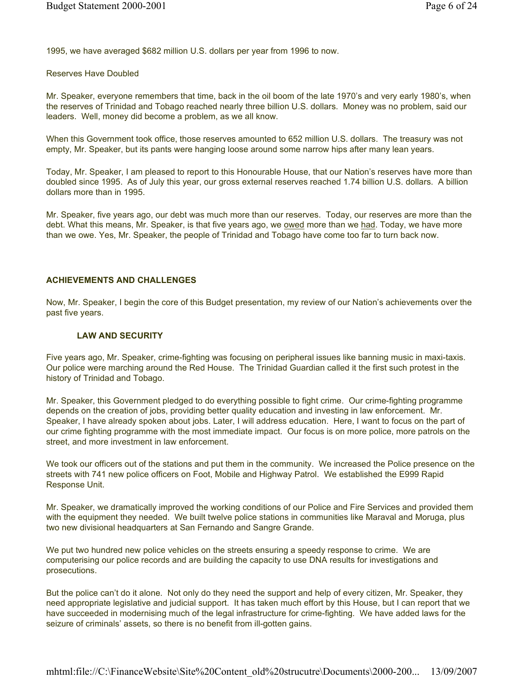1995, we have averaged \$682 million U.S. dollars per year from 1996 to now.

#### Reserves Have Doubled

Mr. Speaker, everyone remembers that time, back in the oil boom of the late 1970's and very early 1980's, when the reserves of Trinidad and Tobago reached nearly three billion U.S. dollars. Money was no problem, said our leaders. Well, money did become a problem, as we all know.

When this Government took office, those reserves amounted to 652 million U.S. dollars. The treasury was not empty, Mr. Speaker, but its pants were hanging loose around some narrow hips after many lean years.

Today, Mr. Speaker, I am pleased to report to this Honourable House, that our Nation's reserves have more than doubled since 1995. As of July this year, our gross external reserves reached 1.74 billion U.S. dollars. A billion dollars more than in 1995.

Mr. Speaker, five years ago, our debt was much more than our reserves. Today, our reserves are more than the debt. What this means, Mr. Speaker, is that five years ago, we owed more than we had. Today, we have more than we owe. Yes, Mr. Speaker, the people of Trinidad and Tobago have come too far to turn back now.

#### ACHIEVEMENTS AND CHALLENGES

Now, Mr. Speaker, I begin the core of this Budget presentation, my review of our Nation's achievements over the past five years.

#### LAW AND SECURITY

Five years ago, Mr. Speaker, crime-fighting was focusing on peripheral issues like banning music in maxi-taxis. Our police were marching around the Red House. The Trinidad Guardian called it the first such protest in the history of Trinidad and Tobago.

Mr. Speaker, this Government pledged to do everything possible to fight crime. Our crime-fighting programme depends on the creation of jobs, providing better quality education and investing in law enforcement. Mr. Speaker, I have already spoken about jobs. Later, I will address education. Here, I want to focus on the part of our crime fighting programme with the most immediate impact. Our focus is on more police, more patrols on the street, and more investment in law enforcement.

We took our officers out of the stations and put them in the community. We increased the Police presence on the streets with 741 new police officers on Foot, Mobile and Highway Patrol. We established the E999 Rapid Response Unit.

Mr. Speaker, we dramatically improved the working conditions of our Police and Fire Services and provided them with the equipment they needed. We built twelve police stations in communities like Maraval and Moruga, plus two new divisional headquarters at San Fernando and Sangre Grande.

We put two hundred new police vehicles on the streets ensuring a speedy response to crime. We are computerising our police records and are building the capacity to use DNA results for investigations and prosecutions.

But the police can't do it alone. Not only do they need the support and help of every citizen, Mr. Speaker, they need appropriate legislative and judicial support. It has taken much effort by this House, but I can report that we have succeeded in modernising much of the legal infrastructure for crime-fighting. We have added laws for the seizure of criminals' assets, so there is no benefit from ill-gotten gains.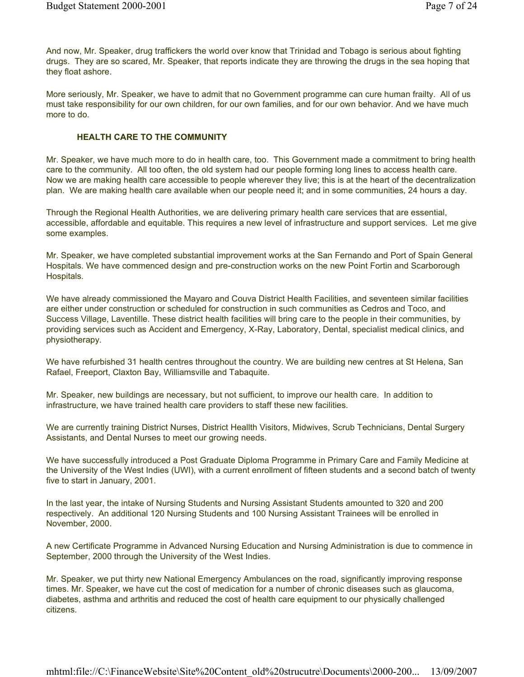And now, Mr. Speaker, drug traffickers the world over know that Trinidad and Tobago is serious about fighting drugs. They are so scared, Mr. Speaker, that reports indicate they are throwing the drugs in the sea hoping that they float ashore.

More seriously, Mr. Speaker, we have to admit that no Government programme can cure human frailty. All of us must take responsibility for our own children, for our own families, and for our own behavior. And we have much more to do.

## HEALTH CARE TO THE COMMUNITY

Mr. Speaker, we have much more to do in health care, too. This Government made a commitment to bring health care to the community. All too often, the old system had our people forming long lines to access health care. Now we are making health care accessible to people wherever they live; this is at the heart of the decentralization plan. We are making health care available when our people need it; and in some communities, 24 hours a day.

Through the Regional Health Authorities, we are delivering primary health care services that are essential, accessible, affordable and equitable. This requires a new level of infrastructure and support services. Let me give some examples.

Mr. Speaker, we have completed substantial improvement works at the San Fernando and Port of Spain General Hospitals. We have commenced design and pre-construction works on the new Point Fortin and Scarborough Hospitals.

We have already commissioned the Mayaro and Couva District Health Facilities, and seventeen similar facilities are either under construction or scheduled for construction in such communities as Cedros and Toco, and Success Village, Laventille. These district health facilities will bring care to the people in their communities, by providing services such as Accident and Emergency, X-Ray, Laboratory, Dental, specialist medical clinics, and physiotherapy.

We have refurbished 31 health centres throughout the country. We are building new centres at St Helena, San Rafael, Freeport, Claxton Bay, Williamsville and Tabaquite.

Mr. Speaker, new buildings are necessary, but not sufficient, to improve our health care. In addition to infrastructure, we have trained health care providers to staff these new facilities.

We are currently training District Nurses, District Heallth Visitors, Midwives, Scrub Technicians, Dental Surgery Assistants, and Dental Nurses to meet our growing needs.

We have successfully introduced a Post Graduate Diploma Programme in Primary Care and Family Medicine at the University of the West Indies (UWI), with a current enrollment of fifteen students and a second batch of twenty five to start in January, 2001.

In the last year, the intake of Nursing Students and Nursing Assistant Students amounted to 320 and 200 respectively. An additional 120 Nursing Students and 100 Nursing Assistant Trainees will be enrolled in November, 2000.

A new Certificate Programme in Advanced Nursing Education and Nursing Administration is due to commence in September, 2000 through the University of the West Indies.

Mr. Speaker, we put thirty new National Emergency Ambulances on the road, significantly improving response times. Mr. Speaker, we have cut the cost of medication for a number of chronic diseases such as glaucoma, diabetes, asthma and arthritis and reduced the cost of health care equipment to our physically challenged citizens.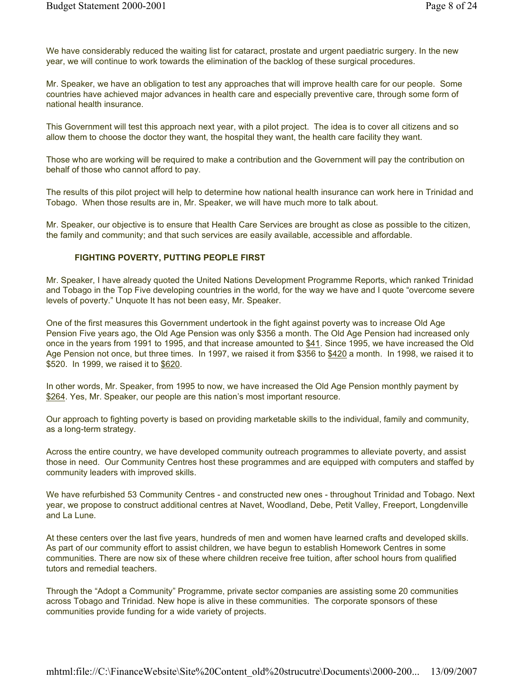We have considerably reduced the waiting list for cataract, prostate and urgent paediatric surgery. In the new year, we will continue to work towards the elimination of the backlog of these surgical procedures.

Mr. Speaker, we have an obligation to test any approaches that will improve health care for our people. Some countries have achieved major advances in health care and especially preventive care, through some form of national health insurance.

This Government will test this approach next year, with a pilot project. The idea is to cover all citizens and so allow them to choose the doctor they want, the hospital they want, the health care facility they want.

Those who are working will be required to make a contribution and the Government will pay the contribution on behalf of those who cannot afford to pay.

The results of this pilot project will help to determine how national health insurance can work here in Trinidad and Tobago. When those results are in, Mr. Speaker, we will have much more to talk about.

Mr. Speaker, our objective is to ensure that Health Care Services are brought as close as possible to the citizen, the family and community; and that such services are easily available, accessible and affordable.

### FIGHTING POVERTY, PUTTING PEOPLE FIRST

Mr. Speaker, I have already quoted the United Nations Development Programme Reports, which ranked Trinidad and Tobago in the Top Five developing countries in the world, for the way we have and I quote "overcome severe levels of poverty." Unquote It has not been easy, Mr. Speaker.

One of the first measures this Government undertook in the fight against poverty was to increase Old Age Pension Five years ago, the Old Age Pension was only \$356 a month. The Old Age Pension had increased only once in the years from 1991 to 1995, and that increase amounted to \$41. Since 1995, we have increased the Old Age Pension not once, but three times. In 1997, we raised it from \$356 to \$420 a month. In 1998, we raised it to \$520. In 1999, we raised it to \$620.

In other words, Mr. Speaker, from 1995 to now, we have increased the Old Age Pension monthly payment by \$264. Yes, Mr. Speaker, our people are this nation's most important resource.

Our approach to fighting poverty is based on providing marketable skills to the individual, family and community, as a long-term strategy.

Across the entire country, we have developed community outreach programmes to alleviate poverty, and assist those in need. Our Community Centres host these programmes and are equipped with computers and staffed by community leaders with improved skills.

We have refurbished 53 Community Centres - and constructed new ones - throughout Trinidad and Tobago. Next year, we propose to construct additional centres at Navet, Woodland, Debe, Petit Valley, Freeport, Longdenville and La Lune.

At these centers over the last five years, hundreds of men and women have learned crafts and developed skills. As part of our community effort to assist children, we have begun to establish Homework Centres in some communities. There are now six of these where children receive free tuition, after school hours from qualified tutors and remedial teachers.

Through the "Adopt a Community" Programme, private sector companies are assisting some 20 communities across Tobago and Trinidad. New hope is alive in these communities. The corporate sponsors of these communities provide funding for a wide variety of projects.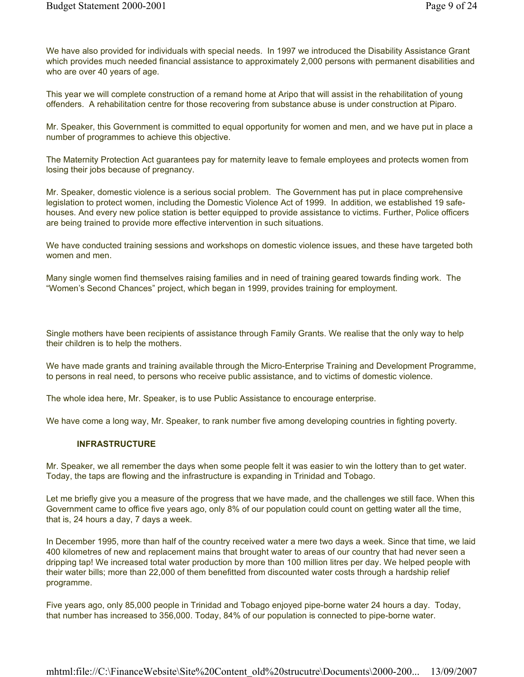We have also provided for individuals with special needs. In 1997 we introduced the Disability Assistance Grant which provides much needed financial assistance to approximately 2,000 persons with permanent disabilities and who are over 40 years of age.

This year we will complete construction of a remand home at Aripo that will assist in the rehabilitation of young offenders. A rehabilitation centre for those recovering from substance abuse is under construction at Piparo.

Mr. Speaker, this Government is committed to equal opportunity for women and men, and we have put in place a number of programmes to achieve this objective.

The Maternity Protection Act guarantees pay for maternity leave to female employees and protects women from losing their jobs because of pregnancy.

Mr. Speaker, domestic violence is a serious social problem. The Government has put in place comprehensive legislation to protect women, including the Domestic Violence Act of 1999. In addition, we established 19 safehouses. And every new police station is better equipped to provide assistance to victims. Further, Police officers are being trained to provide more effective intervention in such situations.

We have conducted training sessions and workshops on domestic violence issues, and these have targeted both women and men.

Many single women find themselves raising families and in need of training geared towards finding work. The "Women's Second Chances" project, which began in 1999, provides training for employment.

Single mothers have been recipients of assistance through Family Grants. We realise that the only way to help their children is to help the mothers.

We have made grants and training available through the Micro-Enterprise Training and Development Programme, to persons in real need, to persons who receive public assistance, and to victims of domestic violence.

The whole idea here, Mr. Speaker, is to use Public Assistance to encourage enterprise.

We have come a long way, Mr. Speaker, to rank number five among developing countries in fighting poverty.

#### INFRASTRUCTURE

Mr. Speaker, we all remember the days when some people felt it was easier to win the lottery than to get water. Today, the taps are flowing and the infrastructure is expanding in Trinidad and Tobago.

Let me briefly give you a measure of the progress that we have made, and the challenges we still face. When this Government came to office five years ago, only 8% of our population could count on getting water all the time, that is, 24 hours a day, 7 days a week.

In December 1995, more than half of the country received water a mere two days a week. Since that time, we laid 400 kilometres of new and replacement mains that brought water to areas of our country that had never seen a dripping tap! We increased total water production by more than 100 million litres per day. We helped people with their water bills; more than 22,000 of them benefitted from discounted water costs through a hardship relief programme.

Five years ago, only 85,000 people in Trinidad and Tobago enjoyed pipe-borne water 24 hours a day. Today, that number has increased to 356,000. Today, 84% of our population is connected to pipe-borne water.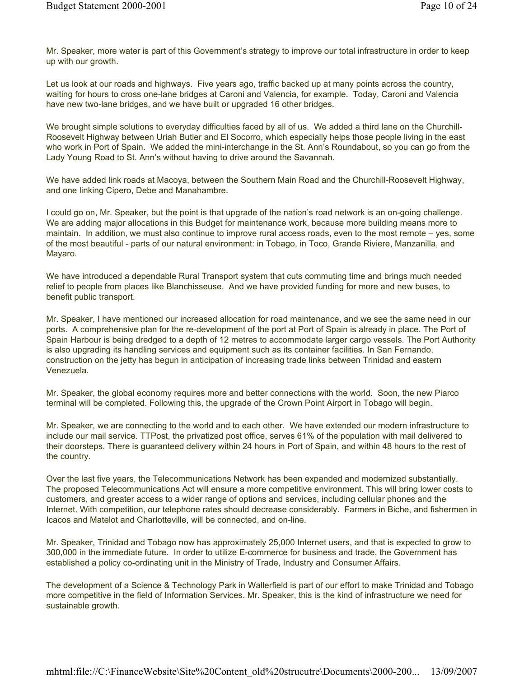Mr. Speaker, more water is part of this Government's strategy to improve our total infrastructure in order to keep up with our growth.

Let us look at our roads and highways. Five years ago, traffic backed up at many points across the country, waiting for hours to cross one-lane bridges at Caroni and Valencia, for example. Today, Caroni and Valencia have new two-lane bridges, and we have built or upgraded 16 other bridges.

We brought simple solutions to everyday difficulties faced by all of us. We added a third lane on the Churchill-Roosevelt Highway between Uriah Butler and El Socorro, which especially helps those people living in the east who work in Port of Spain. We added the mini-interchange in the St. Ann's Roundabout, so you can go from the Lady Young Road to St. Ann's without having to drive around the Savannah.

We have added link roads at Macoya, between the Southern Main Road and the Churchill-Roosevelt Highway, and one linking Cipero, Debe and Manahambre.

I could go on, Mr. Speaker, but the point is that upgrade of the nation's road network is an on-going challenge. We are adding major allocations in this Budget for maintenance work, because more building means more to maintain. In addition, we must also continue to improve rural access roads, even to the most remote – yes, some of the most beautiful - parts of our natural environment: in Tobago, in Toco, Grande Riviere, Manzanilla, and Mayaro.

We have introduced a dependable Rural Transport system that cuts commuting time and brings much needed relief to people from places like Blanchisseuse. And we have provided funding for more and new buses, to benefit public transport.

Mr. Speaker, I have mentioned our increased allocation for road maintenance, and we see the same need in our ports. A comprehensive plan for the re-development of the port at Port of Spain is already in place. The Port of Spain Harbour is being dredged to a depth of 12 metres to accommodate larger cargo vessels. The Port Authority is also upgrading its handling services and equipment such as its container facilities. In San Fernando, construction on the jetty has begun in anticipation of increasing trade links between Trinidad and eastern Venezuela.

Mr. Speaker, the global economy requires more and better connections with the world. Soon, the new Piarco terminal will be completed. Following this, the upgrade of the Crown Point Airport in Tobago will begin.

Mr. Speaker, we are connecting to the world and to each other. We have extended our modern infrastructure to include our mail service. TTPost, the privatized post office, serves 61% of the population with mail delivered to their doorsteps. There is guaranteed delivery within 24 hours in Port of Spain, and within 48 hours to the rest of the country.

Over the last five years, the Telecommunications Network has been expanded and modernized substantially. The proposed Telecommunications Act will ensure a more competitive environment. This will bring lower costs to customers, and greater access to a wider range of options and services, including cellular phones and the Internet. With competition, our telephone rates should decrease considerably. Farmers in Biche, and fishermen in Icacos and Matelot and Charlotteville, will be connected, and on-line.

Mr. Speaker, Trinidad and Tobago now has approximately 25,000 Internet users, and that is expected to grow to 300,000 in the immediate future. In order to utilize E-commerce for business and trade, the Government has established a policy co-ordinating unit in the Ministry of Trade, Industry and Consumer Affairs.

The development of a Science & Technology Park in Wallerfield is part of our effort to make Trinidad and Tobago more competitive in the field of Information Services. Mr. Speaker, this is the kind of infrastructure we need for sustainable growth.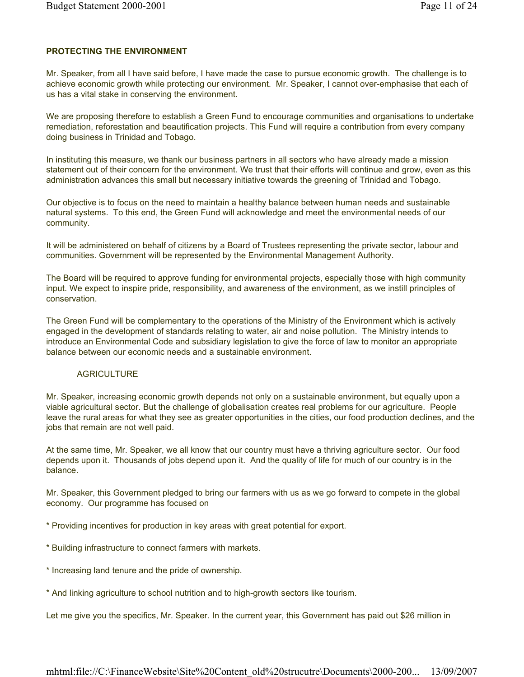## PROTECTING THE ENVIRONMENT

Mr. Speaker, from all I have said before, I have made the case to pursue economic growth. The challenge is to achieve economic growth while protecting our environment. Mr. Speaker, I cannot over-emphasise that each of us has a vital stake in conserving the environment.

We are proposing therefore to establish a Green Fund to encourage communities and organisations to undertake remediation, reforestation and beautification projects. This Fund will require a contribution from every company doing business in Trinidad and Tobago.

In instituting this measure, we thank our business partners in all sectors who have already made a mission statement out of their concern for the environment. We trust that their efforts will continue and grow, even as this administration advances this small but necessary initiative towards the greening of Trinidad and Tobago.

Our objective is to focus on the need to maintain a healthy balance between human needs and sustainable natural systems. To this end, the Green Fund will acknowledge and meet the environmental needs of our community.

It will be administered on behalf of citizens by a Board of Trustees representing the private sector, labour and communities. Government will be represented by the Environmental Management Authority.

The Board will be required to approve funding for environmental projects, especially those with high community input. We expect to inspire pride, responsibility, and awareness of the environment, as we instill principles of conservation.

The Green Fund will be complementary to the operations of the Ministry of the Environment which is actively engaged in the development of standards relating to water, air and noise pollution. The Ministry intends to introduce an Environmental Code and subsidiary legislation to give the force of law to monitor an appropriate balance between our economic needs and a sustainable environment.

# **AGRICULTURE**

Mr. Speaker, increasing economic growth depends not only on a sustainable environment, but equally upon a viable agricultural sector. But the challenge of globalisation creates real problems for our agriculture. People leave the rural areas for what they see as greater opportunities in the cities, our food production declines, and the jobs that remain are not well paid.

At the same time, Mr. Speaker, we all know that our country must have a thriving agriculture sector. Our food depends upon it. Thousands of jobs depend upon it. And the quality of life for much of our country is in the balance.

Mr. Speaker, this Government pledged to bring our farmers with us as we go forward to compete in the global economy. Our programme has focused on

\* Providing incentives for production in key areas with great potential for export.

- \* Building infrastructure to connect farmers with markets.
- \* Increasing land tenure and the pride of ownership.
- \* And linking agriculture to school nutrition and to high-growth sectors like tourism.

Let me give you the specifics, Mr. Speaker. In the current year, this Government has paid out \$26 million in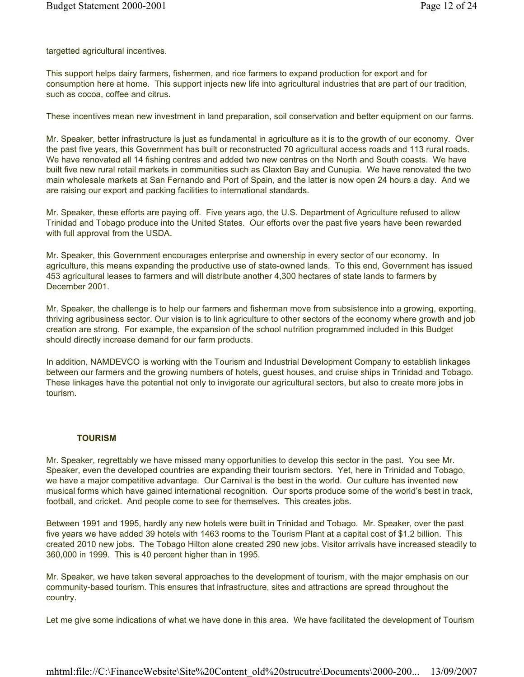targetted agricultural incentives.

This support helps dairy farmers, fishermen, and rice farmers to expand production for export and for consumption here at home. This support injects new life into agricultural industries that are part of our tradition, such as cocoa, coffee and citrus.

These incentives mean new investment in land preparation, soil conservation and better equipment on our farms.

Mr. Speaker, better infrastructure is just as fundamental in agriculture as it is to the growth of our economy. Over the past five years, this Government has built or reconstructed 70 agricultural access roads and 113 rural roads. We have renovated all 14 fishing centres and added two new centres on the North and South coasts. We have built five new rural retail markets in communities such as Claxton Bay and Cunupia. We have renovated the two main wholesale markets at San Fernando and Port of Spain, and the latter is now open 24 hours a day. And we are raising our export and packing facilities to international standards.

Mr. Speaker, these efforts are paying off. Five years ago, the U.S. Department of Agriculture refused to allow Trinidad and Tobago produce into the United States. Our efforts over the past five years have been rewarded with full approval from the USDA.

Mr. Speaker, this Government encourages enterprise and ownership in every sector of our economy. In agriculture, this means expanding the productive use of state-owned lands. To this end, Government has issued 453 agricultural leases to farmers and will distribute another 4,300 hectares of state lands to farmers by December 2001.

Mr. Speaker, the challenge is to help our farmers and fisherman move from subsistence into a growing, exporting, thriving agribusiness sector. Our vision is to link agriculture to other sectors of the economy where growth and job creation are strong. For example, the expansion of the school nutrition programmed included in this Budget should directly increase demand for our farm products.

In addition, NAMDEVCO is working with the Tourism and Industrial Development Company to establish linkages between our farmers and the growing numbers of hotels, guest houses, and cruise ships in Trinidad and Tobago. These linkages have the potential not only to invigorate our agricultural sectors, but also to create more jobs in tourism.

#### **TOURISM**

Mr. Speaker, regrettably we have missed many opportunities to develop this sector in the past. You see Mr. Speaker, even the developed countries are expanding their tourism sectors. Yet, here in Trinidad and Tobago, we have a major competitive advantage. Our Carnival is the best in the world. Our culture has invented new musical forms which have gained international recognition. Our sports produce some of the world's best in track, football, and cricket. And people come to see for themselves. This creates jobs.

Between 1991 and 1995, hardly any new hotels were built in Trinidad and Tobago. Mr. Speaker, over the past five years we have added 39 hotels with 1463 rooms to the Tourism Plant at a capital cost of \$1.2 billion. This created 2010 new jobs. The Tobago Hilton alone created 290 new jobs. Visitor arrivals have increased steadily to 360,000 in 1999. This is 40 percent higher than in 1995.

Mr. Speaker, we have taken several approaches to the development of tourism, with the major emphasis on our community-based tourism. This ensures that infrastructure, sites and attractions are spread throughout the country.

Let me give some indications of what we have done in this area. We have facilitated the development of Tourism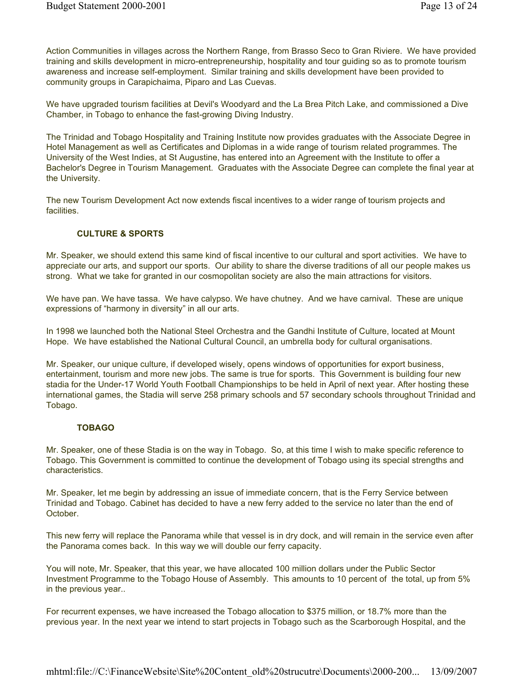Action Communities in villages across the Northern Range, from Brasso Seco to Gran Riviere. We have provided training and skills development in micro-entrepreneurship, hospitality and tour guiding so as to promote tourism awareness and increase self-employment. Similar training and skills development have been provided to community groups in Carapichaima, Piparo and Las Cuevas.

We have upgraded tourism facilities at Devil's Woodyard and the La Brea Pitch Lake, and commissioned a Dive Chamber, in Tobago to enhance the fast-growing Diving Industry.

The Trinidad and Tobago Hospitality and Training Institute now provides graduates with the Associate Degree in Hotel Management as well as Certificates and Diplomas in a wide range of tourism related programmes. The University of the West Indies, at St Augustine, has entered into an Agreement with the Institute to offer a Bachelor's Degree in Tourism Management. Graduates with the Associate Degree can complete the final year at the University.

The new Tourism Development Act now extends fiscal incentives to a wider range of tourism projects and **facilities** 

# CULTURE & SPORTS

Mr. Speaker, we should extend this same kind of fiscal incentive to our cultural and sport activities. We have to appreciate our arts, and support our sports. Our ability to share the diverse traditions of all our people makes us strong. What we take for granted in our cosmopolitan society are also the main attractions for visitors.

We have pan. We have tassa. We have calypso. We have chutney. And we have carnival. These are unique expressions of "harmony in diversity" in all our arts.

In 1998 we launched both the National Steel Orchestra and the Gandhi Institute of Culture, located at Mount Hope. We have established the National Cultural Council, an umbrella body for cultural organisations.

Mr. Speaker, our unique culture, if developed wisely, opens windows of opportunities for export business, entertainment, tourism and more new jobs. The same is true for sports. This Government is building four new stadia for the Under-17 World Youth Football Championships to be held in April of next year. After hosting these international games, the Stadia will serve 258 primary schools and 57 secondary schools throughout Trinidad and Tobago.

### TOBAGO

Mr. Speaker, one of these Stadia is on the way in Tobago. So, at this time I wish to make specific reference to Tobago. This Government is committed to continue the development of Tobago using its special strengths and characteristics.

Mr. Speaker, let me begin by addressing an issue of immediate concern, that is the Ferry Service between Trinidad and Tobago. Cabinet has decided to have a new ferry added to the service no later than the end of October.

This new ferry will replace the Panorama while that vessel is in dry dock, and will remain in the service even after the Panorama comes back. In this way we will double our ferry capacity.

You will note, Mr. Speaker, that this year, we have allocated 100 million dollars under the Public Sector Investment Programme to the Tobago House of Assembly. This amounts to 10 percent of the total, up from 5% in the previous year..

For recurrent expenses, we have increased the Tobago allocation to \$375 million, or 18.7% more than the previous year. In the next year we intend to start projects in Tobago such as the Scarborough Hospital, and the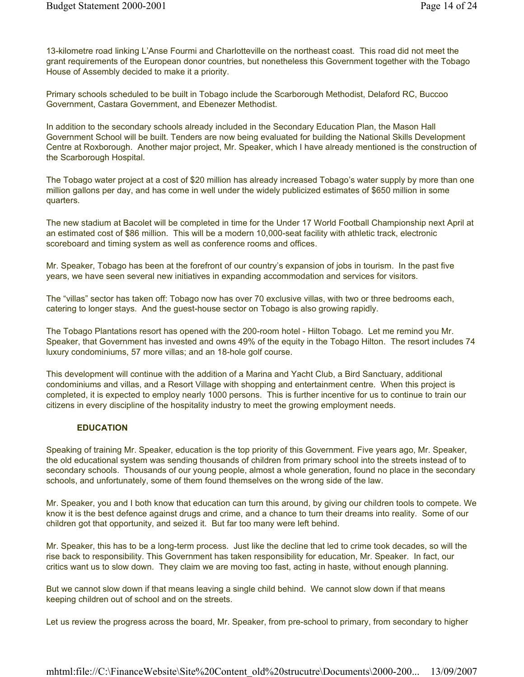13-kilometre road linking L'Anse Fourmi and Charlotteville on the northeast coast. This road did not meet the grant requirements of the European donor countries, but nonetheless this Government together with the Tobago House of Assembly decided to make it a priority.

Primary schools scheduled to be built in Tobago include the Scarborough Methodist, Delaford RC, Buccoo Government, Castara Government, and Ebenezer Methodist.

In addition to the secondary schools already included in the Secondary Education Plan, the Mason Hall Government School will be built. Tenders are now being evaluated for building the National Skills Development Centre at Roxborough. Another major project, Mr. Speaker, which I have already mentioned is the construction of the Scarborough Hospital.

The Tobago water project at a cost of \$20 million has already increased Tobago's water supply by more than one million gallons per day, and has come in well under the widely publicized estimates of \$650 million in some quarters.

The new stadium at Bacolet will be completed in time for the Under 17 World Football Championship next April at an estimated cost of \$86 million. This will be a modern 10,000-seat facility with athletic track, electronic scoreboard and timing system as well as conference rooms and offices.

Mr. Speaker, Tobago has been at the forefront of our country's expansion of jobs in tourism. In the past five years, we have seen several new initiatives in expanding accommodation and services for visitors.

The "villas" sector has taken off: Tobago now has over 70 exclusive villas, with two or three bedrooms each, catering to longer stays. And the guest-house sector on Tobago is also growing rapidly.

The Tobago Plantations resort has opened with the 200-room hotel - Hilton Tobago. Let me remind you Mr. Speaker, that Government has invested and owns 49% of the equity in the Tobago Hilton. The resort includes 74 luxury condominiums, 57 more villas; and an 18-hole golf course.

This development will continue with the addition of a Marina and Yacht Club, a Bird Sanctuary, additional condominiums and villas, and a Resort Village with shopping and entertainment centre. When this project is completed, it is expected to employ nearly 1000 persons. This is further incentive for us to continue to train our citizens in every discipline of the hospitality industry to meet the growing employment needs.

### **EDUCATION**

Speaking of training Mr. Speaker, education is the top priority of this Government. Five years ago, Mr. Speaker, the old educational system was sending thousands of children from primary school into the streets instead of to secondary schools. Thousands of our young people, almost a whole generation, found no place in the secondary schools, and unfortunately, some of them found themselves on the wrong side of the law.

Mr. Speaker, you and I both know that education can turn this around, by giving our children tools to compete. We know it is the best defence against drugs and crime, and a chance to turn their dreams into reality. Some of our children got that opportunity, and seized it. But far too many were left behind.

Mr. Speaker, this has to be a long-term process. Just like the decline that led to crime took decades, so will the rise back to responsibility. This Government has taken responsibility for education, Mr. Speaker. In fact, our critics want us to slow down. They claim we are moving too fast, acting in haste, without enough planning.

But we cannot slow down if that means leaving a single child behind. We cannot slow down if that means keeping children out of school and on the streets.

Let us review the progress across the board, Mr. Speaker, from pre-school to primary, from secondary to higher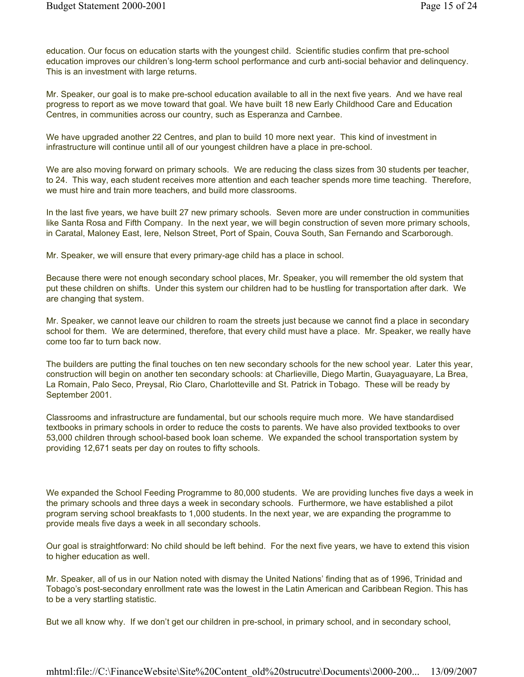education. Our focus on education starts with the youngest child. Scientific studies confirm that pre-school education improves our children's long-term school performance and curb anti-social behavior and delinquency. This is an investment with large returns.

Mr. Speaker, our goal is to make pre-school education available to all in the next five years. And we have real progress to report as we move toward that goal. We have built 18 new Early Childhood Care and Education Centres, in communities across our country, such as Esperanza and Carnbee.

We have upgraded another 22 Centres, and plan to build 10 more next year. This kind of investment in infrastructure will continue until all of our youngest children have a place in pre-school.

We are also moving forward on primary schools. We are reducing the class sizes from 30 students per teacher, to 24. This way, each student receives more attention and each teacher spends more time teaching. Therefore, we must hire and train more teachers, and build more classrooms.

In the last five years, we have built 27 new primary schools. Seven more are under construction in communities like Santa Rosa and Fifth Company. In the next year, we will begin construction of seven more primary schools, in Caratal, Maloney East, Iere, Nelson Street, Port of Spain, Couva South, San Fernando and Scarborough.

Mr. Speaker, we will ensure that every primary-age child has a place in school.

Because there were not enough secondary school places, Mr. Speaker, you will remember the old system that put these children on shifts. Under this system our children had to be hustling for transportation after dark. We are changing that system.

Mr. Speaker, we cannot leave our children to roam the streets just because we cannot find a place in secondary school for them. We are determined, therefore, that every child must have a place. Mr. Speaker, we really have come too far to turn back now.

The builders are putting the final touches on ten new secondary schools for the new school year. Later this year, construction will begin on another ten secondary schools: at Charlieville, Diego Martin, Guayaguayare, La Brea, La Romain, Palo Seco, Preysal, Rio Claro, Charlotteville and St. Patrick in Tobago. These will be ready by September 2001.

Classrooms and infrastructure are fundamental, but our schools require much more. We have standardised textbooks in primary schools in order to reduce the costs to parents. We have also provided textbooks to over 53,000 children through school-based book loan scheme. We expanded the school transportation system by providing 12,671 seats per day on routes to fifty schools.

We expanded the School Feeding Programme to 80,000 students. We are providing lunches five days a week in the primary schools and three days a week in secondary schools. Furthermore, we have established a pilot program serving school breakfasts to 1,000 students. In the next year, we are expanding the programme to provide meals five days a week in all secondary schools.

Our goal is straightforward: No child should be left behind. For the next five years, we have to extend this vision to higher education as well.

Mr. Speaker, all of us in our Nation noted with dismay the United Nations' finding that as of 1996, Trinidad and Tobago's post-secondary enrollment rate was the lowest in the Latin American and Caribbean Region. This has to be a very startling statistic.

But we all know why. If we don't get our children in pre-school, in primary school, and in secondary school,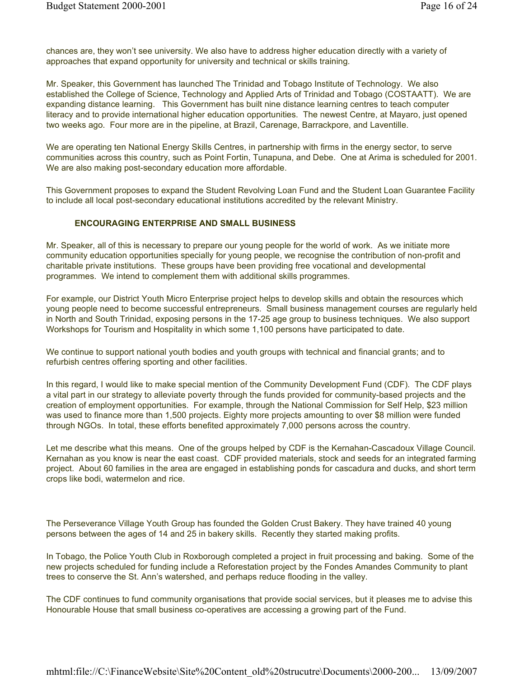chances are, they won't see university. We also have to address higher education directly with a variety of approaches that expand opportunity for university and technical or skills training.

Mr. Speaker, this Government has launched The Trinidad and Tobago Institute of Technology. We also established the College of Science, Technology and Applied Arts of Trinidad and Tobago (COSTAATT). We are expanding distance learning. This Government has built nine distance learning centres to teach computer literacy and to provide international higher education opportunities. The newest Centre, at Mayaro, just opened two weeks ago. Four more are in the pipeline, at Brazil, Carenage, Barrackpore, and Laventille.

We are operating ten National Energy Skills Centres, in partnership with firms in the energy sector, to serve communities across this country, such as Point Fortin, Tunapuna, and Debe. One at Arima is scheduled for 2001. We are also making post-secondary education more affordable.

This Government proposes to expand the Student Revolving Loan Fund and the Student Loan Guarantee Facility to include all local post-secondary educational institutions accredited by the relevant Ministry.

### ENCOURAGING ENTERPRISE AND SMALL BUSINESS

Mr. Speaker, all of this is necessary to prepare our young people for the world of work. As we initiate more community education opportunities specially for young people, we recognise the contribution of non-profit and charitable private institutions. These groups have been providing free vocational and developmental programmes. We intend to complement them with additional skills programmes.

For example, our District Youth Micro Enterprise project helps to develop skills and obtain the resources which young people need to become successful entrepreneurs. Small business management courses are regularly held in North and South Trinidad, exposing persons in the 17-25 age group to business techniques. We also support Workshops for Tourism and Hospitality in which some 1,100 persons have participated to date.

We continue to support national youth bodies and youth groups with technical and financial grants; and to refurbish centres offering sporting and other facilities.

In this regard, I would like to make special mention of the Community Development Fund (CDF). The CDF plays a vital part in our strategy to alleviate poverty through the funds provided for community-based projects and the creation of employment opportunities. For example, through the National Commission for Self Help, \$23 million was used to finance more than 1,500 projects. Eighty more projects amounting to over \$8 million were funded through NGOs. In total, these efforts benefited approximately 7,000 persons across the country.

Let me describe what this means. One of the groups helped by CDF is the Kernahan-Cascadoux Village Council. Kernahan as you know is near the east coast. CDF provided materials, stock and seeds for an integrated farming project. About 60 families in the area are engaged in establishing ponds for cascadura and ducks, and short term crops like bodi, watermelon and rice.

The Perseverance Village Youth Group has founded the Golden Crust Bakery. They have trained 40 young persons between the ages of 14 and 25 in bakery skills. Recently they started making profits.

In Tobago, the Police Youth Club in Roxborough completed a project in fruit processing and baking. Some of the new projects scheduled for funding include a Reforestation project by the Fondes Amandes Community to plant trees to conserve the St. Ann's watershed, and perhaps reduce flooding in the valley.

The CDF continues to fund community organisations that provide social services, but it pleases me to advise this Honourable House that small business co-operatives are accessing a growing part of the Fund.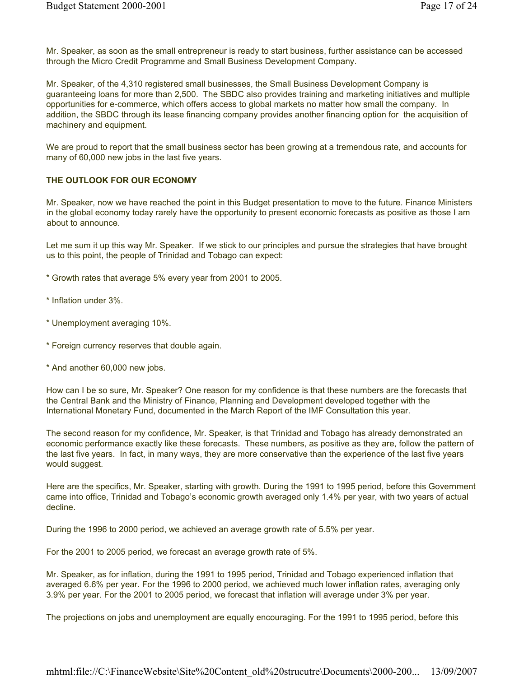Mr. Speaker, as soon as the small entrepreneur is ready to start business, further assistance can be accessed through the Micro Credit Programme and Small Business Development Company.

Mr. Speaker, of the 4,310 registered small businesses, the Small Business Development Company is guaranteeing loans for more than 2,500. The SBDC also provides training and marketing initiatives and multiple opportunities for e-commerce, which offers access to global markets no matter how small the company. In addition, the SBDC through its lease financing company provides another financing option for the acquisition of machinery and equipment.

We are proud to report that the small business sector has been growing at a tremendous rate, and accounts for many of 60,000 new jobs in the last five years.

### THE OUTLOOK FOR OUR ECONOMY

Mr. Speaker, now we have reached the point in this Budget presentation to move to the future. Finance Ministers in the global economy today rarely have the opportunity to present economic forecasts as positive as those I am about to announce.

Let me sum it up this way Mr. Speaker. If we stick to our principles and pursue the strategies that have brought us to this point, the people of Trinidad and Tobago can expect:

- \* Growth rates that average 5% every year from 2001 to 2005.
- \* Inflation under 3%.
- \* Unemployment averaging 10%.
- \* Foreign currency reserves that double again.
- \* And another 60,000 new jobs.

How can I be so sure, Mr. Speaker? One reason for my confidence is that these numbers are the forecasts that the Central Bank and the Ministry of Finance, Planning and Development developed together with the International Monetary Fund, documented in the March Report of the IMF Consultation this year.

The second reason for my confidence, Mr. Speaker, is that Trinidad and Tobago has already demonstrated an economic performance exactly like these forecasts. These numbers, as positive as they are, follow the pattern of the last five years. In fact, in many ways, they are more conservative than the experience of the last five years would suggest.

Here are the specifics, Mr. Speaker, starting with growth. During the 1991 to 1995 period, before this Government came into office, Trinidad and Tobago's economic growth averaged only 1.4% per year, with two years of actual decline.

During the 1996 to 2000 period, we achieved an average growth rate of 5.5% per year.

For the 2001 to 2005 period, we forecast an average growth rate of 5%.

Mr. Speaker, as for inflation, during the 1991 to 1995 period, Trinidad and Tobago experienced inflation that averaged 6.6% per year. For the 1996 to 2000 period, we achieved much lower inflation rates, averaging only 3.9% per year. For the 2001 to 2005 period, we forecast that inflation will average under 3% per year.

The projections on jobs and unemployment are equally encouraging. For the 1991 to 1995 period, before this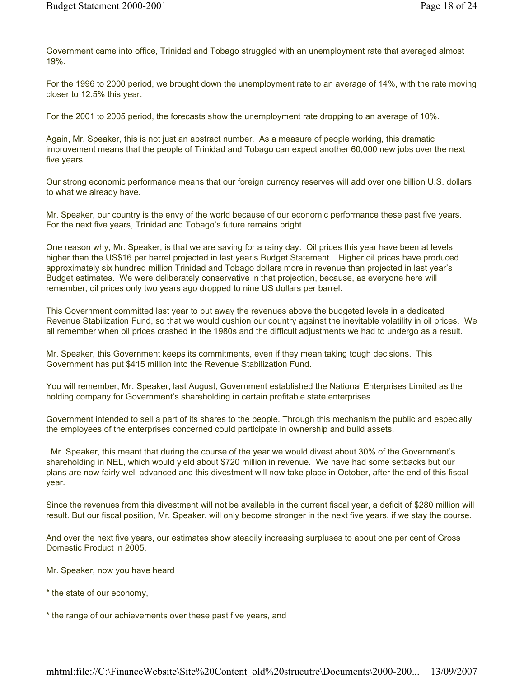Government came into office, Trinidad and Tobago struggled with an unemployment rate that averaged almost 19%.

For the 1996 to 2000 period, we brought down the unemployment rate to an average of 14%, with the rate moving closer to 12.5% this year.

For the 2001 to 2005 period, the forecasts show the unemployment rate dropping to an average of 10%.

Again, Mr. Speaker, this is not just an abstract number. As a measure of people working, this dramatic improvement means that the people of Trinidad and Tobago can expect another 60,000 new jobs over the next five years.

Our strong economic performance means that our foreign currency reserves will add over one billion U.S. dollars to what we already have.

Mr. Speaker, our country is the envy of the world because of our economic performance these past five years. For the next five years, Trinidad and Tobago's future remains bright.

One reason why, Mr. Speaker, is that we are saving for a rainy day. Oil prices this year have been at levels higher than the US\$16 per barrel projected in last year's Budget Statement. Higher oil prices have produced approximately six hundred million Trinidad and Tobago dollars more in revenue than projected in last year's Budget estimates. We were deliberately conservative in that projection, because, as everyone here will remember, oil prices only two years ago dropped to nine US dollars per barrel.

This Government committed last year to put away the revenues above the budgeted levels in a dedicated Revenue Stabilization Fund, so that we would cushion our country against the inevitable volatility in oil prices. We all remember when oil prices crashed in the 1980s and the difficult adjustments we had to undergo as a result.

Mr. Speaker, this Government keeps its commitments, even if they mean taking tough decisions. This Government has put \$415 million into the Revenue Stabilization Fund.

You will remember, Mr. Speaker, last August, Government established the National Enterprises Limited as the holding company for Government's shareholding in certain profitable state enterprises.

Government intended to sell a part of its shares to the people. Through this mechanism the public and especially the employees of the enterprises concerned could participate in ownership and build assets.

 Mr. Speaker, this meant that during the course of the year we would divest about 30% of the Government's shareholding in NEL, which would yield about \$720 million in revenue. We have had some setbacks but our plans are now fairly well advanced and this divestment will now take place in October, after the end of this fiscal year.

Since the revenues from this divestment will not be available in the current fiscal year, a deficit of \$280 million will result. But our fiscal position, Mr. Speaker, will only become stronger in the next five years, if we stay the course.

And over the next five years, our estimates show steadily increasing surpluses to about one per cent of Gross Domestic Product in 2005.

Mr. Speaker, now you have heard

\* the state of our economy,

\* the range of our achievements over these past five years, and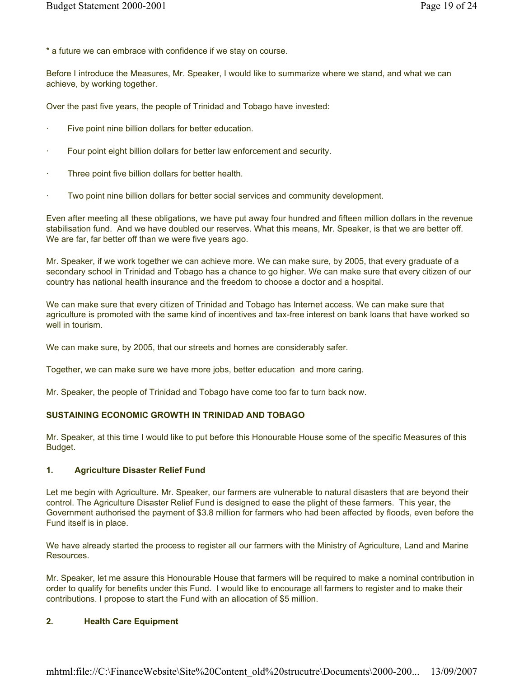\* a future we can embrace with confidence if we stay on course.

Before I introduce the Measures, Mr. Speaker, I would like to summarize where we stand, and what we can achieve, by working together.

Over the past five years, the people of Trinidad and Tobago have invested:

- Five point nine billion dollars for better education.
- Four point eight billion dollars for better law enforcement and security.
- Three point five billion dollars for better health.
- Two point nine billion dollars for better social services and community development.

Even after meeting all these obligations, we have put away four hundred and fifteen million dollars in the revenue stabilisation fund. And we have doubled our reserves. What this means, Mr. Speaker, is that we are better off. We are far, far better off than we were five years ago.

Mr. Speaker, if we work together we can achieve more. We can make sure, by 2005, that every graduate of a secondary school in Trinidad and Tobago has a chance to go higher. We can make sure that every citizen of our country has national health insurance and the freedom to choose a doctor and a hospital.

We can make sure that every citizen of Trinidad and Tobago has Internet access. We can make sure that agriculture is promoted with the same kind of incentives and tax-free interest on bank loans that have worked so well in tourism.

We can make sure, by 2005, that our streets and homes are considerably safer.

Together, we can make sure we have more jobs, better education and more caring.

Mr. Speaker, the people of Trinidad and Tobago have come too far to turn back now.

#### SUSTAINING ECONOMIC GROWTH IN TRINIDAD AND TOBAGO

Mr. Speaker, at this time I would like to put before this Honourable House some of the specific Measures of this Budget.

### 1. Agriculture Disaster Relief Fund

Let me begin with Agriculture. Mr. Speaker, our farmers are vulnerable to natural disasters that are beyond their control. The Agriculture Disaster Relief Fund is designed to ease the plight of these farmers. This year, the Government authorised the payment of \$3.8 million for farmers who had been affected by floods, even before the Fund itself is in place.

We have already started the process to register all our farmers with the Ministry of Agriculture, Land and Marine Resources.

Mr. Speaker, let me assure this Honourable House that farmers will be required to make a nominal contribution in order to qualify for benefits under this Fund. I would like to encourage all farmers to register and to make their contributions. I propose to start the Fund with an allocation of \$5 million.

#### 2. Health Care Equipment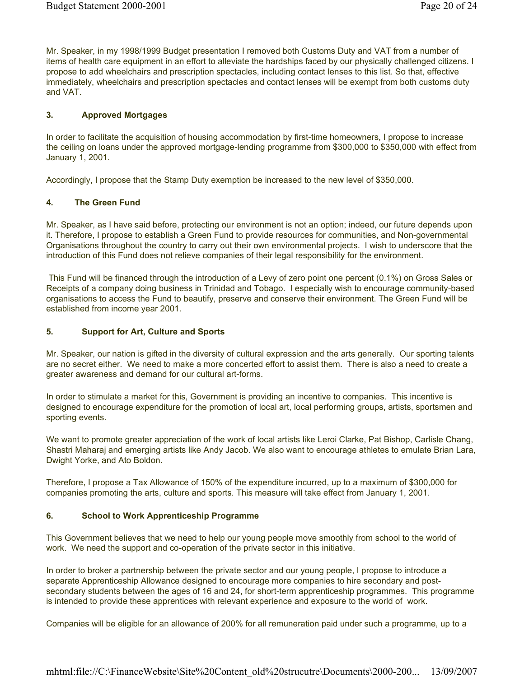Mr. Speaker, in my 1998/1999 Budget presentation I removed both Customs Duty and VAT from a number of items of health care equipment in an effort to alleviate the hardships faced by our physically challenged citizens. I propose to add wheelchairs and prescription spectacles, including contact lenses to this list. So that, effective immediately, wheelchairs and prescription spectacles and contact lenses will be exempt from both customs duty and VAT.

## 3. Approved Mortgages

In order to facilitate the acquisition of housing accommodation by first-time homeowners, I propose to increase the ceiling on loans under the approved mortgage-lending programme from \$300,000 to \$350,000 with effect from January 1, 2001.

Accordingly, I propose that the Stamp Duty exemption be increased to the new level of \$350,000.

### 4. The Green Fund

Mr. Speaker, as I have said before, protecting our environment is not an option; indeed, our future depends upon it. Therefore, I propose to establish a Green Fund to provide resources for communities, and Non-governmental Organisations throughout the country to carry out their own environmental projects. I wish to underscore that the introduction of this Fund does not relieve companies of their legal responsibility for the environment.

 This Fund will be financed through the introduction of a Levy of zero point one percent (0.1%) on Gross Sales or Receipts of a company doing business in Trinidad and Tobago. I especially wish to encourage community-based organisations to access the Fund to beautify, preserve and conserve their environment. The Green Fund will be established from income year 2001.

### 5. Support for Art, Culture and Sports

Mr. Speaker, our nation is gifted in the diversity of cultural expression and the arts generally. Our sporting talents are no secret either. We need to make a more concerted effort to assist them. There is also a need to create a greater awareness and demand for our cultural art-forms.

In order to stimulate a market for this, Government is providing an incentive to companies. This incentive is designed to encourage expenditure for the promotion of local art, local performing groups, artists, sportsmen and sporting events.

We want to promote greater appreciation of the work of local artists like Leroi Clarke, Pat Bishop, Carlisle Chang, Shastri Maharaj and emerging artists like Andy Jacob. We also want to encourage athletes to emulate Brian Lara, Dwight Yorke, and Ato Boldon.

Therefore, I propose a Tax Allowance of 150% of the expenditure incurred, up to a maximum of \$300,000 for companies promoting the arts, culture and sports. This measure will take effect from January 1, 2001.

#### 6. School to Work Apprenticeship Programme

This Government believes that we need to help our young people move smoothly from school to the world of work. We need the support and co-operation of the private sector in this initiative.

In order to broker a partnership between the private sector and our young people, I propose to introduce a separate Apprenticeship Allowance designed to encourage more companies to hire secondary and postsecondary students between the ages of 16 and 24, for short-term apprenticeship programmes. This programme is intended to provide these apprentices with relevant experience and exposure to the world of work.

Companies will be eligible for an allowance of 200% for all remuneration paid under such a programme, up to a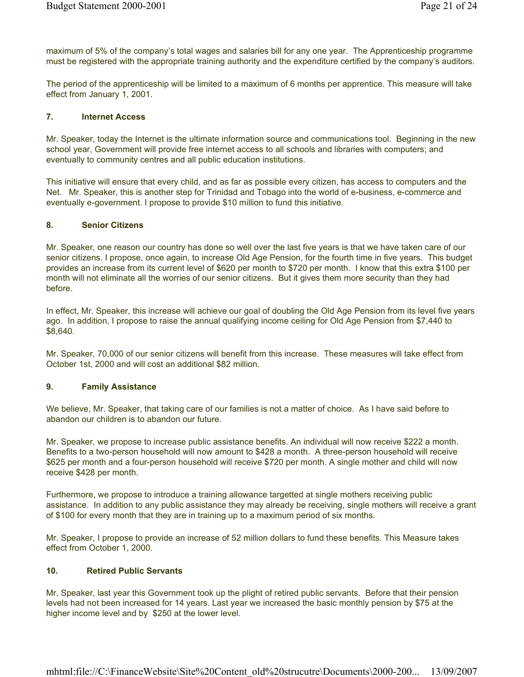maximum of 5% of the company's total wages and salaries bill for any one year. The Apprenticeship programme must be registered with the appropriate training authority and the expenditure certified by the company's auditors.

The period of the apprenticeship will be limited to a maximum of 6 months per apprentice. This measure will take effect from January 1, 2001.

#### 7. Internet Access

Mr. Speaker, today the Internet is the ultimate information source and communications tool. Beginning in the new school year, Government will provide free internet access to all schools and libraries with computers; and eventually to community centres and all public education institutions.

This initiative will ensure that every child, and as far as possible every citizen, has access to computers and the Net. Mr. Speaker, this is another step for Trinidad and Tobago into the world of e-business, e-commerce and eventually e-government. I propose to provide \$10 million to fund this initiative.

## 8. Senior Citizens

Mr. Speaker, one reason our country has done so well over the last five years is that we have taken care of our senior citizens. I propose, once again, to increase Old Age Pension, for the fourth time in five years. This budget provides an increase from its current level of \$620 per month to \$720 per month. I know that this extra \$100 per month will not eliminate all the worries of our senior citizens. But it gives them more security than they had before.

In effect, Mr. Speaker, this increase will achieve our goal of doubling the Old Age Pension from its level five years ago. In addition, I propose to raise the annual qualifying income ceiling for Old Age Pension from \$7,440 to \$8,640.

Mr. Speaker, 70,000 of our senior citizens will benefit from this increase. These measures will take effect from October 1st, 2000 and will cost an additional \$82 million.

# 9. Family Assistance

We believe, Mr. Speaker, that taking care of our families is not a matter of choice. As I have said before to abandon our children is to abandon our future.

Mr. Speaker, we propose to increase public assistance benefits. An individual will now receive \$222 a month. Benefits to a two-person household will now amount to \$428 a month. A three-person household will receive \$625 per month and a four-person household will receive \$720 per month. A single mother and child will now receive \$428 per month.

Furthermore, we propose to introduce a training allowance targetted at single mothers receiving public assistance. In addition to any public assistance they may already be receiving, single mothers will receive a grant of \$100 for every month that they are in training up to a maximum period of six months.

Mr. Speaker, I propose to provide an increase of 52 million dollars to fund these benefits. This Measure takes effect from October 1, 2000.

#### 10. Retired Public Servants

Mr. Speaker, last year this Government took up the plight of retired public servants. Before that their pension levels had not been increased for 14 years. Last year we increased the basic monthly pension by \$75 at the higher income level and by \$250 at the lower level.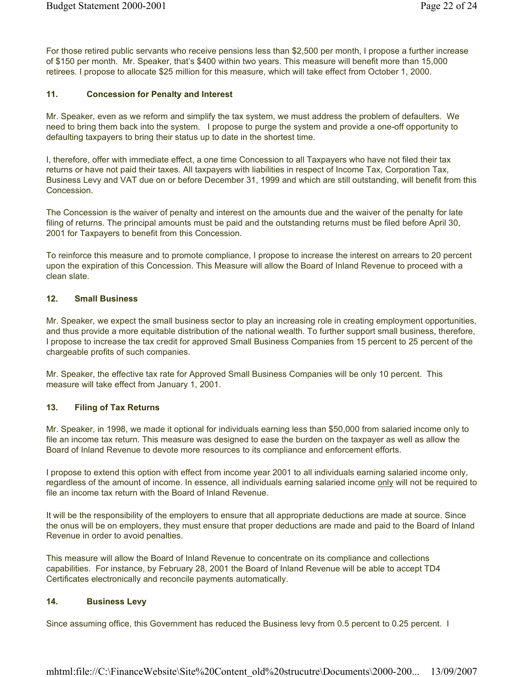For those retired public servants who receive pensions less than \$2,500 per month, I propose a further increase of \$150 per month. Mr. Speaker, that's \$400 within two years. This measure will benefit more than 15,000 retirees. I propose to allocate \$25 million for this measure, which will take effect from October 1, 2000.

## 11. Concession for Penalty and Interest

Mr. Speaker, even as we reform and simplify the tax system, we must address the problem of defaulters. We need to bring them back into the system. I propose to purge the system and provide a one-off opportunity to defaulting taxpayers to bring their status up to date in the shortest time.

I, therefore, offer with immediate effect, a one time Concession to all Taxpayers who have not filed their tax returns or have not paid their taxes. All taxpayers with liabilities in respect of Income Tax, Corporation Tax, Business Levy and VAT due on or before December 31, 1999 and which are still outstanding, will benefit from this **Concession** 

The Concession is the waiver of penalty and interest on the amounts due and the waiver of the penalty for late filing of returns. The principal amounts must be paid and the outstanding returns must be filed before April 30, 2001 for Taxpayers to benefit from this Concession.

To reinforce this measure and to promote compliance, I propose to increase the interest on arrears to 20 percent upon the expiration of this Concession. This Measure will allow the Board of Inland Revenue to proceed with a clean slate.

#### 12. Small Business

Mr. Speaker, we expect the small business sector to play an increasing role in creating employment opportunities, and thus provide a more equitable distribution of the national wealth. To further support small business, therefore, I propose to increase the tax credit for approved Small Business Companies from 15 percent to 25 percent of the chargeable profits of such companies.

Mr. Speaker, the effective tax rate for Approved Small Business Companies will be only 10 percent. This measure will take effect from January 1, 2001.

# 13. Filing of Tax Returns

Mr. Speaker, in 1998, we made it optional for individuals earning less than \$50,000 from salaried income only to file an income tax return. This measure was designed to ease the burden on the taxpayer as well as allow the Board of Inland Revenue to devote more resources to its compliance and enforcement efforts.

I propose to extend this option with effect from income year 2001 to all individuals earning salaried income only, regardless of the amount of income. In essence, all individuals earning salaried income only will not be required to file an income tax return with the Board of Inland Revenue.

It will be the responsibility of the employers to ensure that all appropriate deductions are made at source. Since the onus will be on employers, they must ensure that proper deductions are made and paid to the Board of Inland Revenue in order to avoid penalties.

This measure will allow the Board of Inland Revenue to concentrate on its compliance and collections capabilities. For instance, by February 28, 2001 the Board of Inland Revenue will be able to accept TD4 Certificates electronically and reconcile payments automatically.

## 14. Business Levy

Since assuming office, this Government has reduced the Business levy from 0.5 percent to 0.25 percent. I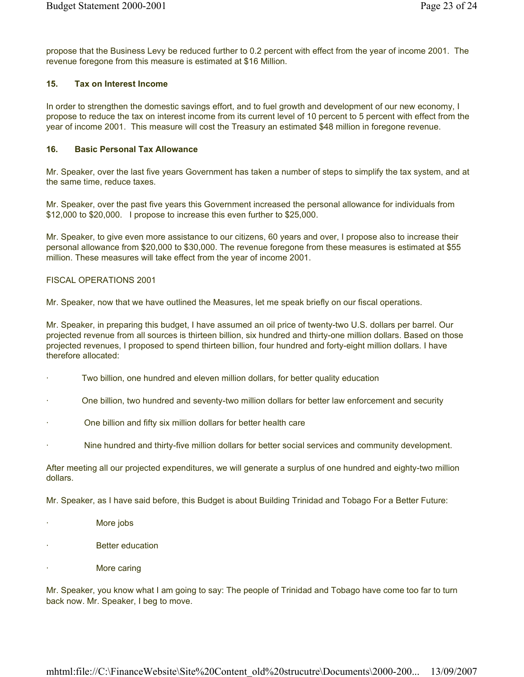propose that the Business Levy be reduced further to 0.2 percent with effect from the year of income 2001. The revenue foregone from this measure is estimated at \$16 Million.

# 15. Tax on Interest Income

In order to strengthen the domestic savings effort, and to fuel growth and development of our new economy, I propose to reduce the tax on interest income from its current level of 10 percent to 5 percent with effect from the year of income 2001. This measure will cost the Treasury an estimated \$48 million in foregone revenue.

### 16. Basic Personal Tax Allowance

Mr. Speaker, over the last five years Government has taken a number of steps to simplify the tax system, and at the same time, reduce taxes.

Mr. Speaker, over the past five years this Government increased the personal allowance for individuals from \$12,000 to \$20,000. I propose to increase this even further to \$25,000.

Mr. Speaker, to give even more assistance to our citizens, 60 years and over, I propose also to increase their personal allowance from \$20,000 to \$30,000. The revenue foregone from these measures is estimated at \$55 million. These measures will take effect from the year of income 2001.

### FISCAL OPERATIONS 2001

Mr. Speaker, now that we have outlined the Measures, let me speak briefly on our fiscal operations.

Mr. Speaker, in preparing this budget, I have assumed an oil price of twenty-two U.S. dollars per barrel. Our projected revenue from all sources is thirteen billion, six hundred and thirty-one million dollars. Based on those projected revenues, I proposed to spend thirteen billion, four hundred and forty-eight million dollars. I have therefore allocated:

- Two billion, one hundred and eleven million dollars, for better quality education
- · One billion, two hundred and seventy-two million dollars for better law enforcement and security
- · One billion and fifty six million dollars for better health care
- · Nine hundred and thirty-five million dollars for better social services and community development.

After meeting all our projected expenditures, we will generate a surplus of one hundred and eighty-two million dollars.

Mr. Speaker, as I have said before, this Budget is about Building Trinidad and Tobago For a Better Future:

- More jobs
- **Better education**
- More caring

Mr. Speaker, you know what I am going to say: The people of Trinidad and Tobago have come too far to turn back now. Mr. Speaker, I beg to move.